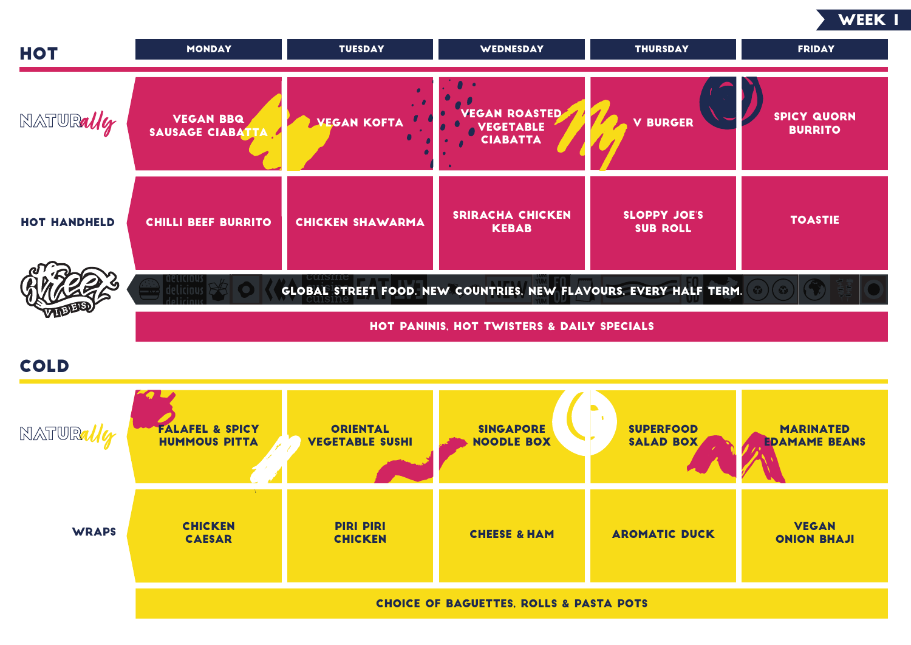## Cold



| <b>HOT</b>          | <b>MONDAY</b>                                                                                   | <b>TUESDAY</b>          | <b>WEDNESDAY</b>                        | <b>THURSDAY</b>                        | <b>FRIDAY</b>                     |  |
|---------------------|-------------------------------------------------------------------------------------------------|-------------------------|-----------------------------------------|----------------------------------------|-----------------------------------|--|
| NATURally           | <b>VEGAN BBQ</b><br>SAUSAGE CIABAT                                                              | <b>VEGAN KOFTA</b>      | VEGAN ROASTED<br>VEGETABLE              | <b>V BURGER</b>                        | <b>SPICY QUO</b><br><b>BURRIT</b> |  |
| <b>HOT HANDHELD</b> | <b>CHILLI BEEF BURRITO</b>                                                                      | <b>CHICKEN SHAWARMA</b> | <b>SRIRACHA CHICKEN</b><br><b>KEBAB</b> | <b>SLOPPY JOE'S</b><br><b>SUB ROLL</b> | <b>TOASTI</b>                     |  |
|                     | GLOBAL STREET FOOD. NEW COUNTRIES, NEW FLAVOURS, EVERY HALF TERM.<br>$\left(\frac{1}{2}\right)$ |                         |                                         |                                        |                                   |  |
|                     | <b>HOT PANINIS, HOT TWISTERS &amp; DAILY SPECIALS</b>                                           |                         |                                         |                                        |                                   |  |



| NATURaller   | <b>FALAFEL &amp; SPICY</b><br><b>HUMMOUS PITTA</b> | <b>ORIENTAL</b><br><b>VEGETABLE SUSHI</b> | <b>SINGAPORE</b><br><b>NOODLE BOX</b> | <b>SUPERFOOD</b><br><b>SALAD BOX</b> | <b>MARINAT</b><br><b>EDAMAME B</b> |
|--------------|----------------------------------------------------|-------------------------------------------|---------------------------------------|--------------------------------------|------------------------------------|
| <b>WRAPS</b> | <b>CHICKEN</b><br><b>CAESAR</b>                    | <b>PIRI PIRI</b><br><b>CHICKEN</b>        | <b>CHEESE &amp; HAM</b>               | <b>AROMATIC DUCK</b>                 | <b>VEGAN</b><br><b>ONION BH</b>    |
|              | <b>CHOICE OF BAGUETTES, ROLLS &amp; PASTA POTS</b> |                                           |                                       |                                      |                                    |

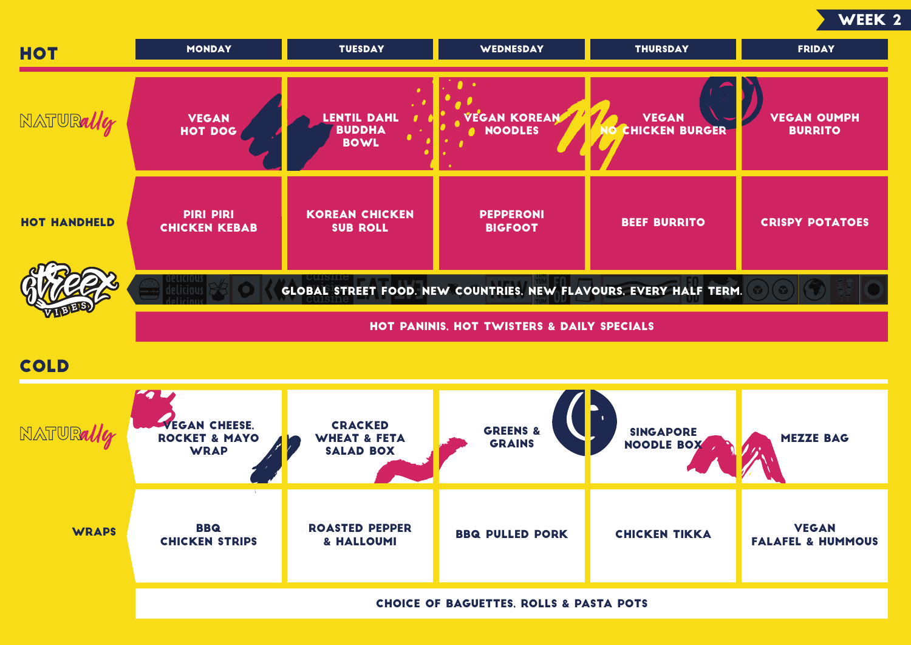



| <b>HOT</b>          | <b>MONDAY</b>                                                     | <b>TUESDAY</b>                                                | <b>WEDNESDAY</b>                                   | <b>THURSDAY</b>                       | <b>FRIDAY</b>                            |  |
|---------------------|-------------------------------------------------------------------|---------------------------------------------------------------|----------------------------------------------------|---------------------------------------|------------------------------------------|--|
| NATURally           | <b>VEGAN</b><br><b>HOT DOG</b>                                    | <b>LENTIL DAHL</b><br><b>BUDDHA</b><br><b>BOWL</b>            | <b>VEGAN KOREAN</b><br><b>NOODLES</b><br>$\bullet$ | <b>VEGAN</b><br><b>CHICKEN BURGER</b> | <b>VEGAN OUN</b><br><b>BURRITO</b>       |  |
| <b>HOT HANDHELD</b> | <b>PIRI PIRI</b><br><b>CHICKEN KEBAB</b>                          | <b>KOREAN CHICKEN</b><br><b>SUB ROLL</b>                      | <b>PEPPERONI</b><br><b>BIGFOOT</b>                 | <b>BEEF BURRITO</b>                   | <b>CRISPY POTA</b>                       |  |
|                     | GLOBAL STREET FOOD. NEW COUNTRIES, NEW FLAVOURS, EVERY HALF TERM. |                                                               |                                                    |                                       |                                          |  |
|                     | <b>HOT PANINIS, HOT TWISTERS &amp; DAILY SPECIALS</b>             |                                                               |                                                    |                                       |                                          |  |
| <b>COLD</b>         |                                                                   |                                                               |                                                    |                                       |                                          |  |
| NATURally           | <b>VEGAN CHEESE,</b><br><b>ROCKET &amp; MAYO</b><br><b>WRAP</b>   | <b>CRACKED</b><br><b>WHEAT &amp; FETA</b><br><b>SALAD BOX</b> | <b>GREENS &amp;</b><br><b>GRAINS</b>               | <b>SINGAPORE</b><br><b>NOODLE BOX</b> | <b>MEZZE BA</b>                          |  |
| <b>WRAPS</b>        | <b>BBQ</b><br><b>CHICKEN STRIPS</b>                               | <b>ROASTED PEPPER</b><br>& HALLOUMI                           | <b>BBQ PULLED PORK</b>                             | <b>CHICKEN TIKKA</b>                  | <b>VEGAN</b><br><b>FALAFEL &amp; HUN</b> |  |
|                     | <b>CHOICE OF BAGUETTES, ROLLS &amp; PASTA POTS</b>                |                                                               |                                                    |                                       |                                          |  |